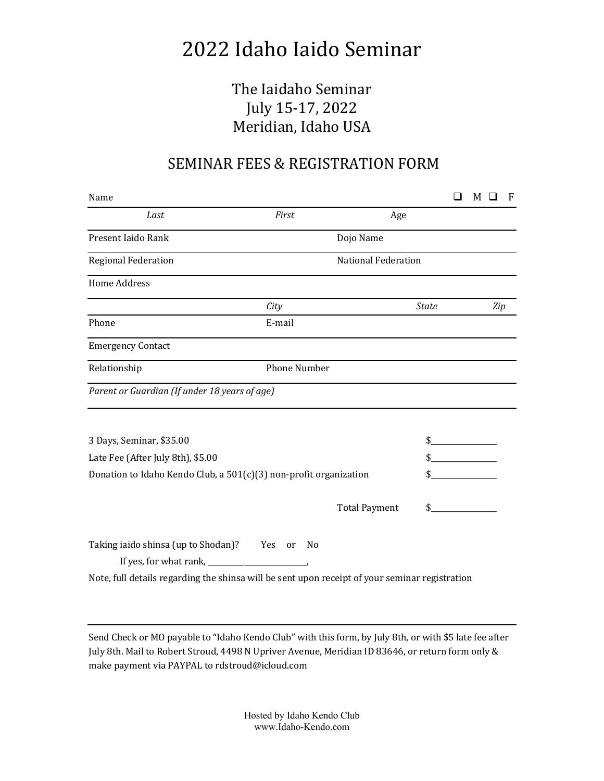## 2022 Idaho Iaido Seminar

## The Iaidaho Seminar July 15-17, 2022 Meridian, Idaho USA

## SEMINAR FEES & REGISTRATION FORM

| Name                                                                                           |              |                            |              |  | м |     | F |
|------------------------------------------------------------------------------------------------|--------------|----------------------------|--------------|--|---|-----|---|
| Last                                                                                           | First        | Age                        |              |  |   |     |   |
| Present Iaido Rank                                                                             |              | Dojo Name                  |              |  |   |     |   |
| <b>Regional Federation</b>                                                                     |              | <b>National Federation</b> |              |  |   |     |   |
| <b>Home Address</b>                                                                            |              |                            |              |  |   |     |   |
|                                                                                                | City         |                            | <b>State</b> |  |   | Zip |   |
| Phone                                                                                          | E-mail       |                            |              |  |   |     |   |
| <b>Emergency Contact</b>                                                                       |              |                            |              |  |   |     |   |
| Relationship                                                                                   | Phone Number |                            |              |  |   |     |   |
| Parent or Guardian (If under 18 years of age)                                                  |              |                            |              |  |   |     |   |
| 3 Days, Seminar, \$35.00                                                                       |              |                            | \$           |  |   |     |   |
| Late Fee (After July 8th), \$5.00                                                              |              |                            |              |  |   |     |   |
| Donation to Idaho Kendo Club, a 501(c)(3) non-profit organization                              |              |                            |              |  |   |     |   |
|                                                                                                |              | <b>Total Payment</b>       |              |  |   |     |   |
| Taking iaido shinsa (up to Shodan)? Yes or                                                     | - No         |                            |              |  |   |     |   |
|                                                                                                |              |                            |              |  |   |     |   |
| Note, full details regarding the shinsa will be sent upon receipt of your seminar registration |              |                            |              |  |   |     |   |

Send Check or MO payable to "Idaho Kendo Club" with this form, by July 8th, or with \$5 late fee after July 8th. Mail to Robert Stroud, 4498 N Upriver Avenue, Meridian ID 83646, or return form only & make payment via PAYPAL to rdstroud@icloud.com

> Hosted by Idaho Kendo Club www.Idaho-Kendo.com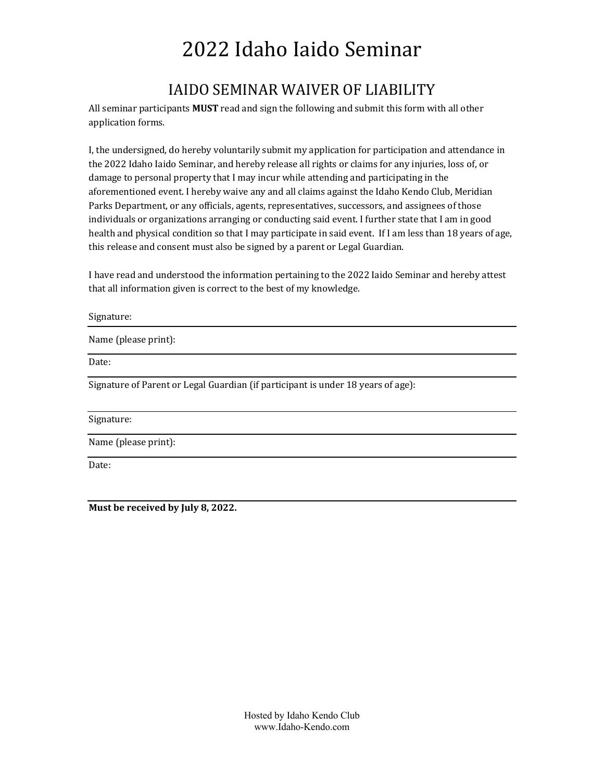# 2022 Idaho Iaido Seminar

## IAIDO SEMINAR WAIVER OF LIABILITY

All seminar participants **MUST** read and sign the following and submit this form with all other application forms.

I, the undersigned, do hereby voluntarily submit my application for participation and attendance in the 2022 Idaho Iaido Seminar, and hereby release all rights or claims for any injuries, loss of, or damage to personal property that I may incur while attending and participating in the aforementioned event. I hereby waive any and all claims against the Idaho Kendo Club, Meridian Parks Department, or any officials, agents, representatives, successors, and assignees of those individuals or organizations arranging or conducting said event. I further state that I am in good health and physical condition so that I may participate in said event. If I am less than 18 years of age, this release and consent must also be signed by a parent or Legal Guardian.

I have read and understood the information pertaining to the 2022 Iaido Seminar and hereby attest that all information given is correct to the best of my knowledge.

| Signature:                                                                       |
|----------------------------------------------------------------------------------|
| Name (please print):                                                             |
| Date:                                                                            |
| Signature of Parent or Legal Guardian (if participant is under 18 years of age): |
| Signature:                                                                       |
| Name (please print):                                                             |

Date:

**Must be received by July 8, 2022.**